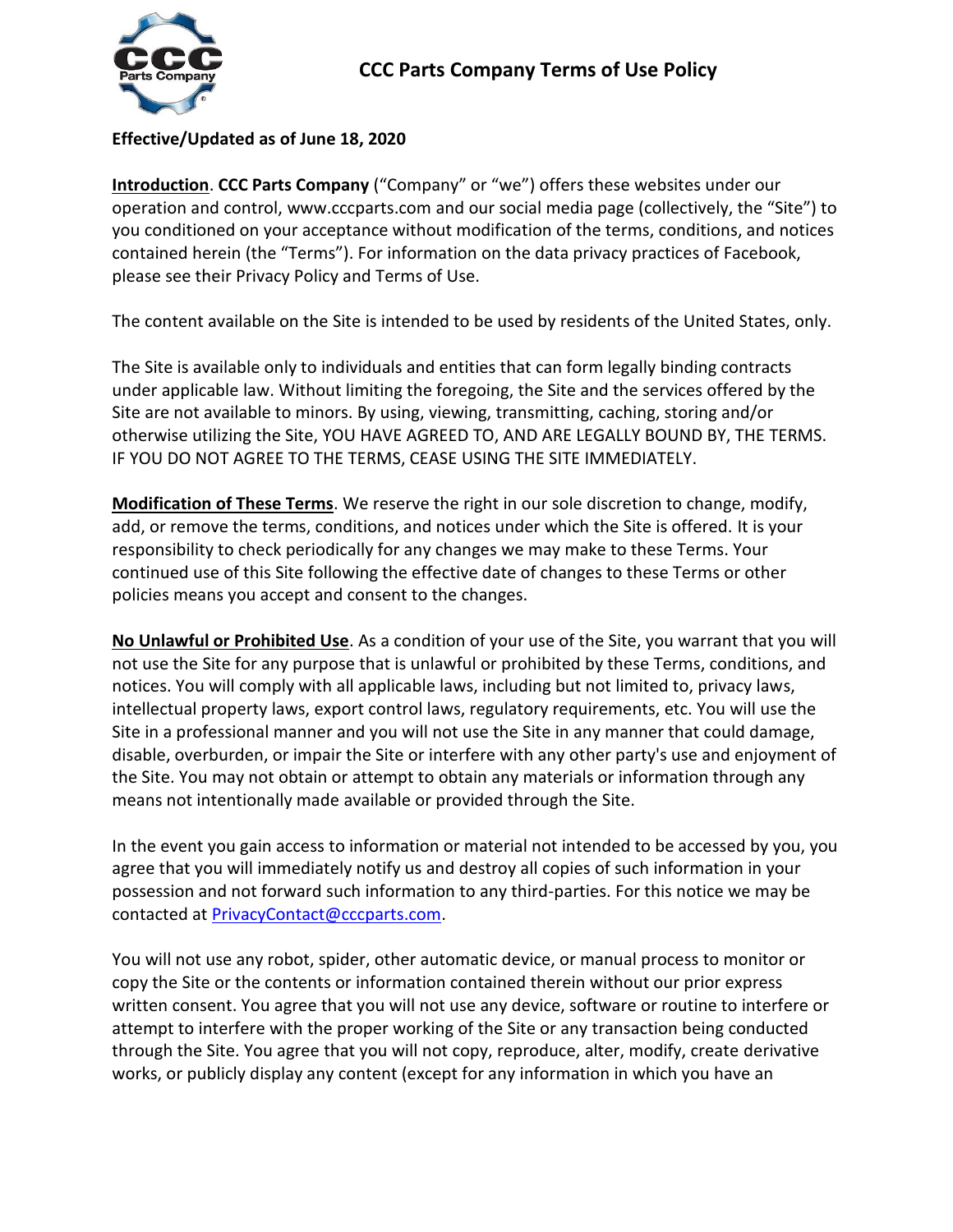

## **Effective/Updated as of June 18, 2020**

**Introduction**. **CCC Parts Company** ("Company" or "we") offers these websites under our operation and control, www.cccparts.com and our social media page (collectively, the "Site") to you conditioned on your acceptance without modification of the terms, conditions, and notices contained herein (the "Terms"). For information on the data privacy practices of Facebook, please see their Privacy Policy and Terms of Use.

The content available on the Site is intended to be used by residents of the United States, only.

The Site is available only to individuals and entities that can form legally binding contracts under applicable law. Without limiting the foregoing, the Site and the services offered by the Site are not available to minors. By using, viewing, transmitting, caching, storing and/or otherwise utilizing the Site, YOU HAVE AGREED TO, AND ARE LEGALLY BOUND BY, THE TERMS. IF YOU DO NOT AGREE TO THE TERMS, CEASE USING THE SITE IMMEDIATELY.

**Modification of These Terms**. We reserve the right in our sole discretion to change, modify, add, or remove the terms, conditions, and notices under which the Site is offered. It is your responsibility to check periodically for any changes we may make to these Terms. Your continued use of this Site following the effective date of changes to these Terms or other policies means you accept and consent to the changes.

**No Unlawful or Prohibited Use**. As a condition of your use of the Site, you warrant that you will not use the Site for any purpose that is unlawful or prohibited by these Terms, conditions, and notices. You will comply with all applicable laws, including but not limited to, privacy laws, intellectual property laws, export control laws, regulatory requirements, etc. You will use the Site in a professional manner and you will not use the Site in any manner that could damage, disable, overburden, or impair the Site or interfere with any other party's use and enjoyment of the Site. You may not obtain or attempt to obtain any materials or information through any means not intentionally made available or provided through the Site.

In the event you gain access to information or material not intended to be accessed by you, you agree that you will immediately notify us and destroy all copies of such information in your possession and not forward such information to any third-parties. For this notice we may be contacted at [PrivacyContact@cccparts.com.](mailto:PrivacyContact@cccparts.com)

You will not use any robot, spider, other automatic device, or manual process to monitor or copy the Site or the contents or information contained therein without our prior express written consent. You agree that you will not use any device, software or routine to interfere or attempt to interfere with the proper working of the Site or any transaction being conducted through the Site. You agree that you will not copy, reproduce, alter, modify, create derivative works, or publicly display any content (except for any information in which you have an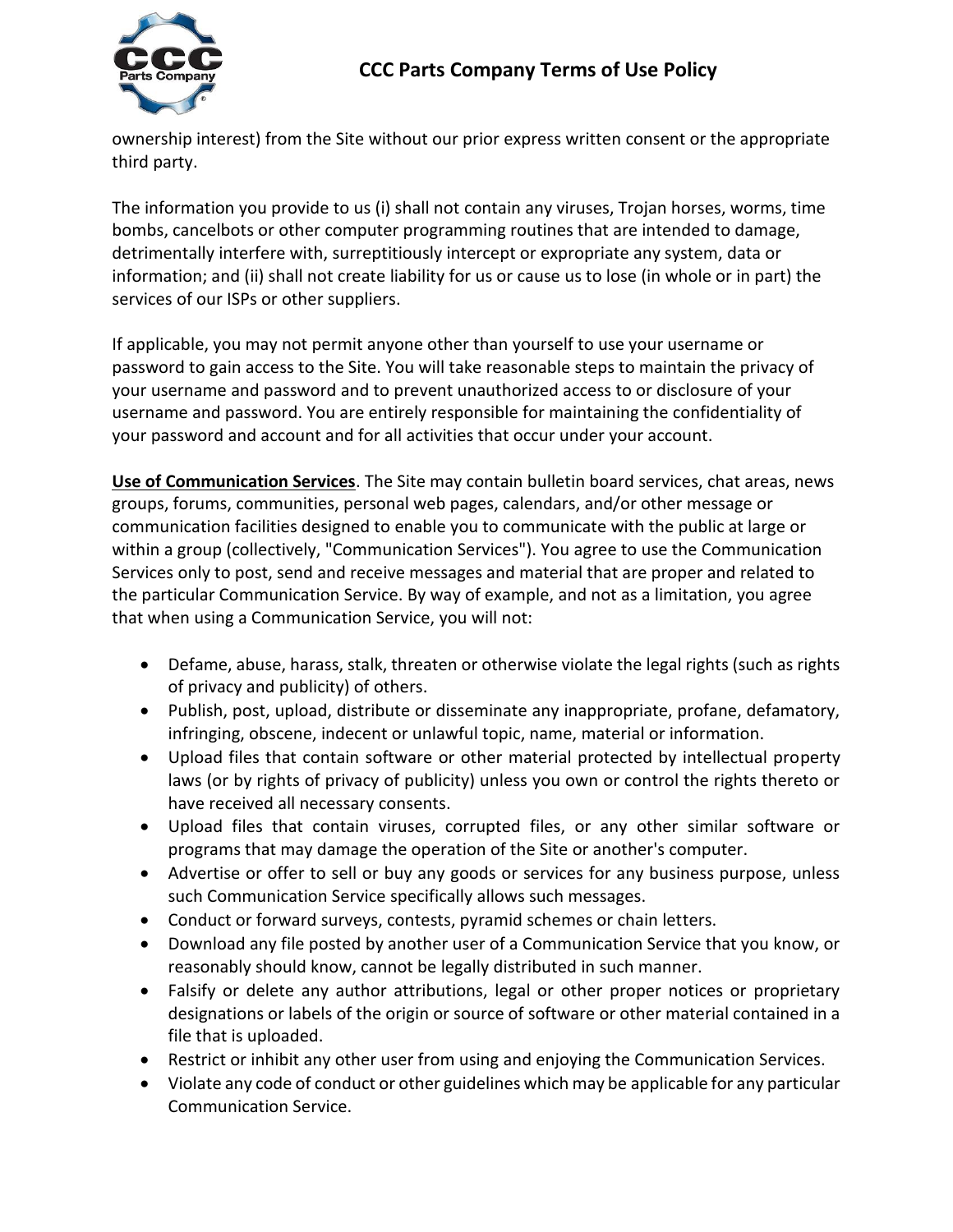

ownership interest) from the Site without our prior express written consent or the appropriate third party.

The information you provide to us (i) shall not contain any viruses, Trojan horses, worms, time bombs, cancelbots or other computer programming routines that are intended to damage, detrimentally interfere with, surreptitiously intercept or expropriate any system, data or information; and (ii) shall not create liability for us or cause us to lose (in whole or in part) the services of our ISPs or other suppliers.

If applicable, you may not permit anyone other than yourself to use your username or password to gain access to the Site. You will take reasonable steps to maintain the privacy of your username and password and to prevent unauthorized access to or disclosure of your username and password. You are entirely responsible for maintaining the confidentiality of your password and account and for all activities that occur under your account.

**Use of Communication Services**. The Site may contain bulletin board services, chat areas, news groups, forums, communities, personal web pages, calendars, and/or other message or communication facilities designed to enable you to communicate with the public at large or within a group (collectively, "Communication Services"). You agree to use the Communication Services only to post, send and receive messages and material that are proper and related to the particular Communication Service. By way of example, and not as a limitation, you agree that when using a Communication Service, you will not:

- Defame, abuse, harass, stalk, threaten or otherwise violate the legal rights (such as rights of privacy and publicity) of others.
- Publish, post, upload, distribute or disseminate any inappropriate, profane, defamatory, infringing, obscene, indecent or unlawful topic, name, material or information.
- Upload files that contain software or other material protected by intellectual property laws (or by rights of privacy of publicity) unless you own or control the rights thereto or have received all necessary consents.
- Upload files that contain viruses, corrupted files, or any other similar software or programs that may damage the operation of the Site or another's computer.
- Advertise or offer to sell or buy any goods or services for any business purpose, unless such Communication Service specifically allows such messages.
- Conduct or forward surveys, contests, pyramid schemes or chain letters.
- Download any file posted by another user of a Communication Service that you know, or reasonably should know, cannot be legally distributed in such manner.
- Falsify or delete any author attributions, legal or other proper notices or proprietary designations or labels of the origin or source of software or other material contained in a file that is uploaded.
- Restrict or inhibit any other user from using and enjoying the Communication Services.
- Violate any code of conduct or other guidelines which may be applicable for any particular Communication Service.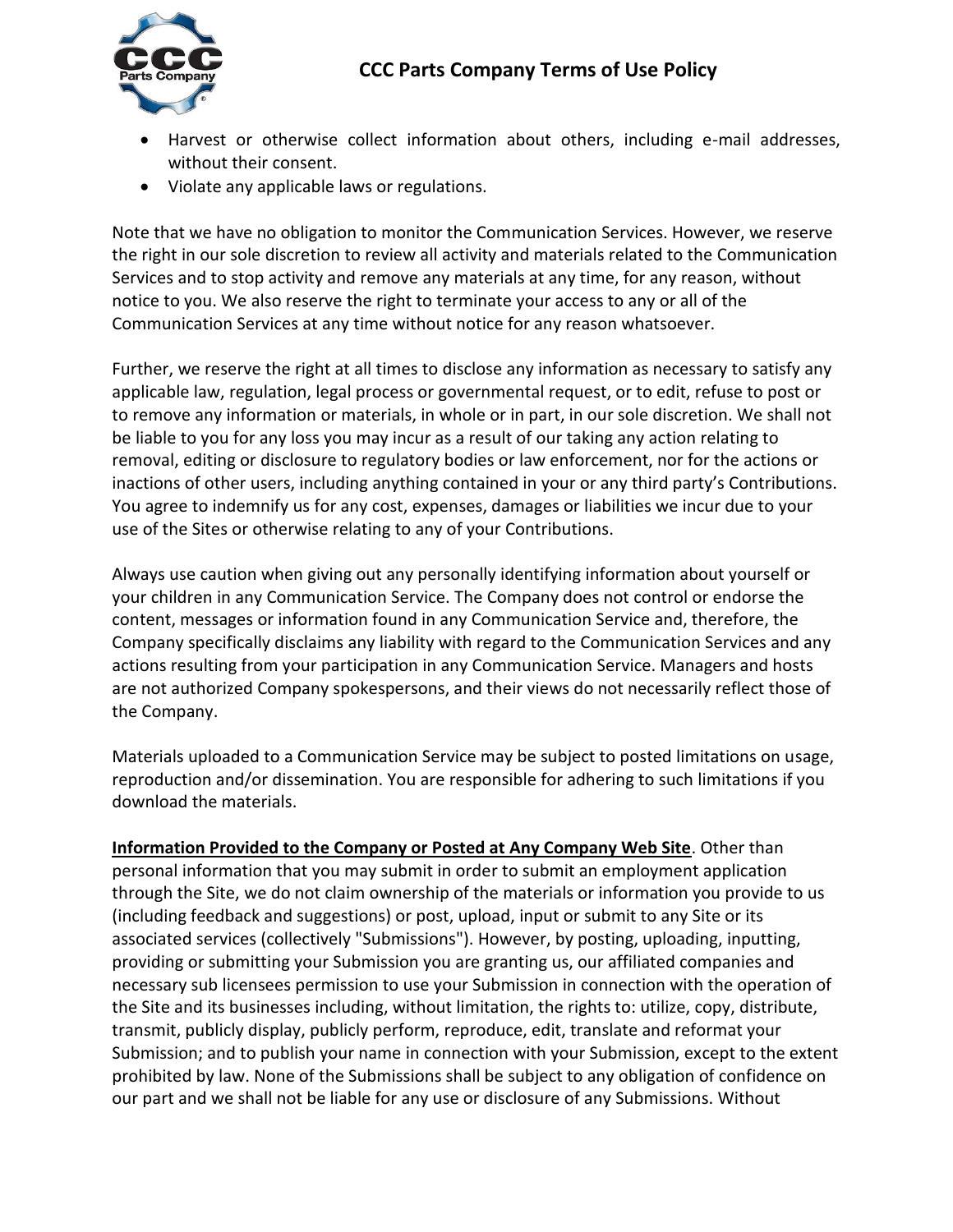## **CCC Parts Company Terms of Use Policy**



- Harvest or otherwise collect information about others, including e-mail addresses, without their consent.
- Violate any applicable laws or regulations.

Note that we have no obligation to monitor the Communication Services. However, we reserve the right in our sole discretion to review all activity and materials related to the Communication Services and to stop activity and remove any materials at any time, for any reason, without notice to you. We also reserve the right to terminate your access to any or all of the Communication Services at any time without notice for any reason whatsoever.

Further, we reserve the right at all times to disclose any information as necessary to satisfy any applicable law, regulation, legal process or governmental request, or to edit, refuse to post or to remove any information or materials, in whole or in part, in our sole discretion. We shall not be liable to you for any loss you may incur as a result of our taking any action relating to removal, editing or disclosure to regulatory bodies or law enforcement, nor for the actions or inactions of other users, including anything contained in your or any third party's Contributions. You agree to indemnify us for any cost, expenses, damages or liabilities we incur due to your use of the Sites or otherwise relating to any of your Contributions.

Always use caution when giving out any personally identifying information about yourself or your children in any Communication Service. The Company does not control or endorse the content, messages or information found in any Communication Service and, therefore, the Company specifically disclaims any liability with regard to the Communication Services and any actions resulting from your participation in any Communication Service. Managers and hosts are not authorized Company spokespersons, and their views do not necessarily reflect those of the Company.

Materials uploaded to a Communication Service may be subject to posted limitations on usage, reproduction and/or dissemination. You are responsible for adhering to such limitations if you download the materials.

**Information Provided to the Company or Posted at Any Company Web Site**. Other than personal information that you may submit in order to submit an employment application through the Site, we do not claim ownership of the materials or information you provide to us (including feedback and suggestions) or post, upload, input or submit to any Site or its associated services (collectively "Submissions"). However, by posting, uploading, inputting, providing or submitting your Submission you are granting us, our affiliated companies and necessary sub licensees permission to use your Submission in connection with the operation of the Site and its businesses including, without limitation, the rights to: utilize, copy, distribute, transmit, publicly display, publicly perform, reproduce, edit, translate and reformat your Submission; and to publish your name in connection with your Submission, except to the extent prohibited by law. None of the Submissions shall be subject to any obligation of confidence on our part and we shall not be liable for any use or disclosure of any Submissions. Without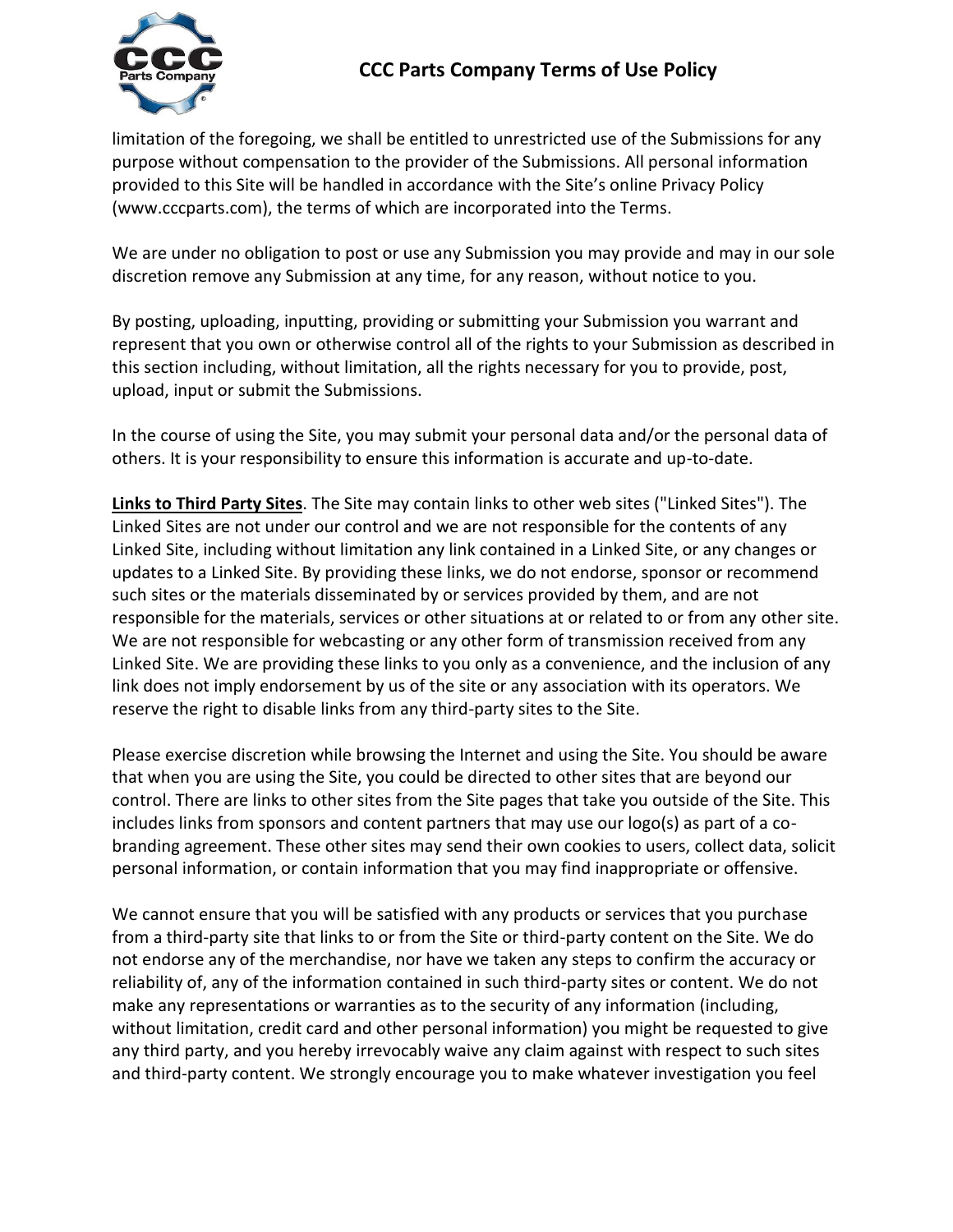

limitation of the foregoing, we shall be entitled to unrestricted use of the Submissions for any purpose without compensation to the provider of the Submissions. All personal information provided to this Site will be handled in accordance with the Site's online Privacy Policy (www.cccparts.com), the terms of which are incorporated into the Terms.

We are under no obligation to post or use any Submission you may provide and may in our sole discretion remove any Submission at any time, for any reason, without notice to you.

By posting, uploading, inputting, providing or submitting your Submission you warrant and represent that you own or otherwise control all of the rights to your Submission as described in this section including, without limitation, all the rights necessary for you to provide, post, upload, input or submit the Submissions.

In the course of using the Site, you may submit your personal data and/or the personal data of others. It is your responsibility to ensure this information is accurate and up-to-date.

**Links to Third Party Sites**. The Site may contain links to other web sites ("Linked Sites"). The Linked Sites are not under our control and we are not responsible for the contents of any Linked Site, including without limitation any link contained in a Linked Site, or any changes or updates to a Linked Site. By providing these links, we do not endorse, sponsor or recommend such sites or the materials disseminated by or services provided by them, and are not responsible for the materials, services or other situations at or related to or from any other site. We are not responsible for webcasting or any other form of transmission received from any Linked Site. We are providing these links to you only as a convenience, and the inclusion of any link does not imply endorsement by us of the site or any association with its operators. We reserve the right to disable links from any third-party sites to the Site.

Please exercise discretion while browsing the Internet and using the Site. You should be aware that when you are using the Site, you could be directed to other sites that are beyond our control. There are links to other sites from the Site pages that take you outside of the Site. This includes links from sponsors and content partners that may use our logo(s) as part of a cobranding agreement. These other sites may send their own cookies to users, collect data, solicit personal information, or contain information that you may find inappropriate or offensive.

We cannot ensure that you will be satisfied with any products or services that you purchase from a third-party site that links to or from the Site or third-party content on the Site. We do not endorse any of the merchandise, nor have we taken any steps to confirm the accuracy or reliability of, any of the information contained in such third-party sites or content. We do not make any representations or warranties as to the security of any information (including, without limitation, credit card and other personal information) you might be requested to give any third party, and you hereby irrevocably waive any claim against with respect to such sites and third-party content. We strongly encourage you to make whatever investigation you feel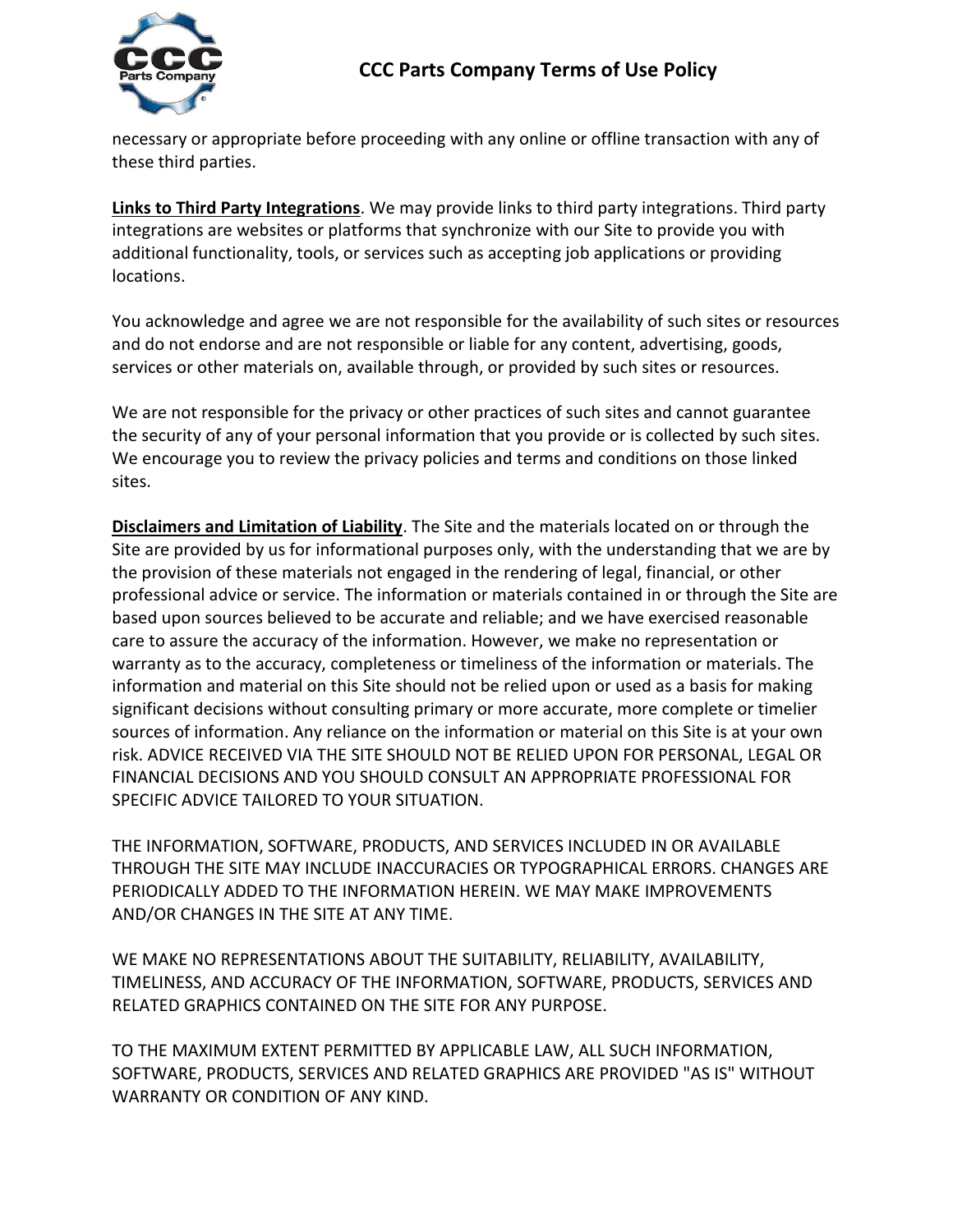

necessary or appropriate before proceeding with any online or offline transaction with any of these third parties.

**Links to Third Party Integrations**. We may provide links to third party integrations. Third party integrations are websites or platforms that synchronize with our Site to provide you with additional functionality, tools, or services such as accepting job applications or providing locations.

You acknowledge and agree we are not responsible for the availability of such sites or resources and do not endorse and are not responsible or liable for any content, advertising, goods, services or other materials on, available through, or provided by such sites or resources.

We are not responsible for the privacy or other practices of such sites and cannot guarantee the security of any of your personal information that you provide or is collected by such sites. We encourage you to review the privacy policies and terms and conditions on those linked sites.

**Disclaimers and Limitation of Liability**. The Site and the materials located on or through the Site are provided by us for informational purposes only, with the understanding that we are by the provision of these materials not engaged in the rendering of legal, financial, or other professional advice or service. The information or materials contained in or through the Site are based upon sources believed to be accurate and reliable; and we have exercised reasonable care to assure the accuracy of the information. However, we make no representation or warranty as to the accuracy, completeness or timeliness of the information or materials. The information and material on this Site should not be relied upon or used as a basis for making significant decisions without consulting primary or more accurate, more complete or timelier sources of information. Any reliance on the information or material on this Site is at your own risk. ADVICE RECEIVED VIA THE SITE SHOULD NOT BE RELIED UPON FOR PERSONAL, LEGAL OR FINANCIAL DECISIONS AND YOU SHOULD CONSULT AN APPROPRIATE PROFESSIONAL FOR SPECIFIC ADVICE TAILORED TO YOUR SITUATION.

THE INFORMATION, SOFTWARE, PRODUCTS, AND SERVICES INCLUDED IN OR AVAILABLE THROUGH THE SITE MAY INCLUDE INACCURACIES OR TYPOGRAPHICAL ERRORS. CHANGES ARE PERIODICALLY ADDED TO THE INFORMATION HEREIN. WE MAY MAKE IMPROVEMENTS AND/OR CHANGES IN THE SITE AT ANY TIME.

WE MAKE NO REPRESENTATIONS ABOUT THE SUITABILITY, RELIABILITY, AVAILABILITY, TIMELINESS, AND ACCURACY OF THE INFORMATION, SOFTWARE, PRODUCTS, SERVICES AND RELATED GRAPHICS CONTAINED ON THE SITE FOR ANY PURPOSE.

TO THE MAXIMUM EXTENT PERMITTED BY APPLICABLE LAW, ALL SUCH INFORMATION, SOFTWARE, PRODUCTS, SERVICES AND RELATED GRAPHICS ARE PROVIDED "AS IS" WITHOUT WARRANTY OR CONDITION OF ANY KIND.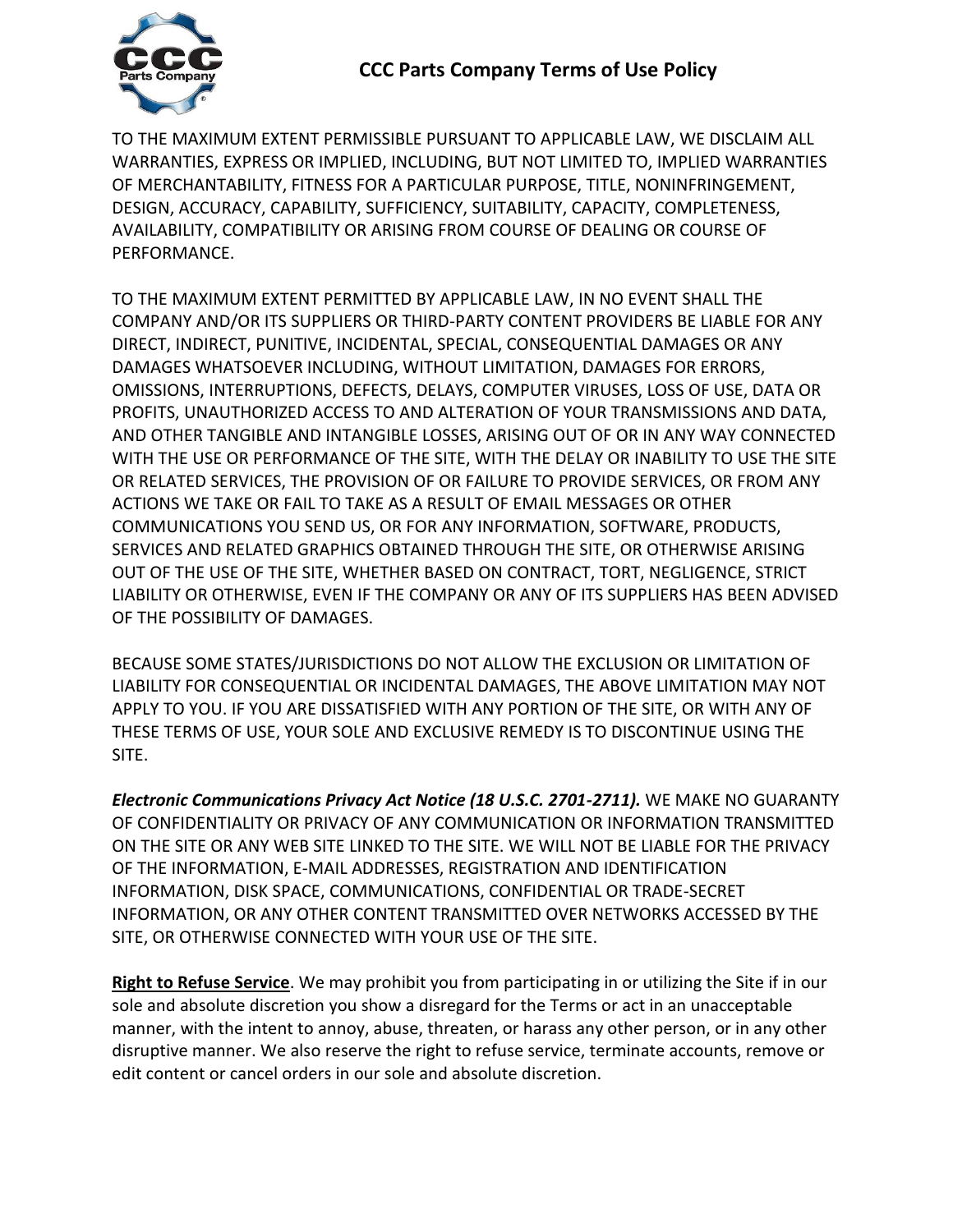TO THE MAXIMUM EXTENT PERMISSIBLE PURSUANT TO APPLICABLE LAW, WE DISCLAIM ALL WARRANTIES, EXPRESS OR IMPLIED, INCLUDING, BUT NOT LIMITED TO, IMPLIED WARRANTIES OF MERCHANTABILITY, FITNESS FOR A PARTICULAR PURPOSE, TITLE, NONINFRINGEMENT, DESIGN, ACCURACY, CAPABILITY, SUFFICIENCY, SUITABILITY, CAPACITY, COMPLETENESS, AVAILABILITY, COMPATIBILITY OR ARISING FROM COURSE OF DEALING OR COURSE OF PERFORMANCE.

TO THE MAXIMUM EXTENT PERMITTED BY APPLICABLE LAW, IN NO EVENT SHALL THE COMPANY AND/OR ITS SUPPLIERS OR THIRD-PARTY CONTENT PROVIDERS BE LIABLE FOR ANY DIRECT, INDIRECT, PUNITIVE, INCIDENTAL, SPECIAL, CONSEQUENTIAL DAMAGES OR ANY DAMAGES WHATSOEVER INCLUDING, WITHOUT LIMITATION, DAMAGES FOR ERRORS, OMISSIONS, INTERRUPTIONS, DEFECTS, DELAYS, COMPUTER VIRUSES, LOSS OF USE, DATA OR PROFITS, UNAUTHORIZED ACCESS TO AND ALTERATION OF YOUR TRANSMISSIONS AND DATA, AND OTHER TANGIBLE AND INTANGIBLE LOSSES, ARISING OUT OF OR IN ANY WAY CONNECTED WITH THE USE OR PERFORMANCE OF THE SITE, WITH THE DELAY OR INABILITY TO USE THE SITE OR RELATED SERVICES, THE PROVISION OF OR FAILURE TO PROVIDE SERVICES, OR FROM ANY ACTIONS WE TAKE OR FAIL TO TAKE AS A RESULT OF EMAIL MESSAGES OR OTHER COMMUNICATIONS YOU SEND US, OR FOR ANY INFORMATION, SOFTWARE, PRODUCTS, SERVICES AND RELATED GRAPHICS OBTAINED THROUGH THE SITE, OR OTHERWISE ARISING OUT OF THE USE OF THE SITE, WHETHER BASED ON CONTRACT, TORT, NEGLIGENCE, STRICT LIABILITY OR OTHERWISE, EVEN IF THE COMPANY OR ANY OF ITS SUPPLIERS HAS BEEN ADVISED OF THE POSSIBILITY OF DAMAGES.

BECAUSE SOME STATES/JURISDICTIONS DO NOT ALLOW THE EXCLUSION OR LIMITATION OF LIABILITY FOR CONSEQUENTIAL OR INCIDENTAL DAMAGES, THE ABOVE LIMITATION MAY NOT APPLY TO YOU. IF YOU ARE DISSATISFIED WITH ANY PORTION OF THE SITE, OR WITH ANY OF THESE TERMS OF USE, YOUR SOLE AND EXCLUSIVE REMEDY IS TO DISCONTINUE USING THE SITE.

*Electronic Communications Privacy Act Notice (18 U.S.C. 2701-2711).* WE MAKE NO GUARANTY OF CONFIDENTIALITY OR PRIVACY OF ANY COMMUNICATION OR INFORMATION TRANSMITTED ON THE SITE OR ANY WEB SITE LINKED TO THE SITE. WE WILL NOT BE LIABLE FOR THE PRIVACY OF THE INFORMATION, E-MAIL ADDRESSES, REGISTRATION AND IDENTIFICATION INFORMATION, DISK SPACE, COMMUNICATIONS, CONFIDENTIAL OR TRADE-SECRET INFORMATION, OR ANY OTHER CONTENT TRANSMITTED OVER NETWORKS ACCESSED BY THE SITE, OR OTHERWISE CONNECTED WITH YOUR USE OF THE SITE.

**Right to Refuse Service**. We may prohibit you from participating in or utilizing the Site if in our sole and absolute discretion you show a disregard for the Terms or act in an unacceptable manner, with the intent to annoy, abuse, threaten, or harass any other person, or in any other disruptive manner. We also reserve the right to refuse service, terminate accounts, remove or edit content or cancel orders in our sole and absolute discretion.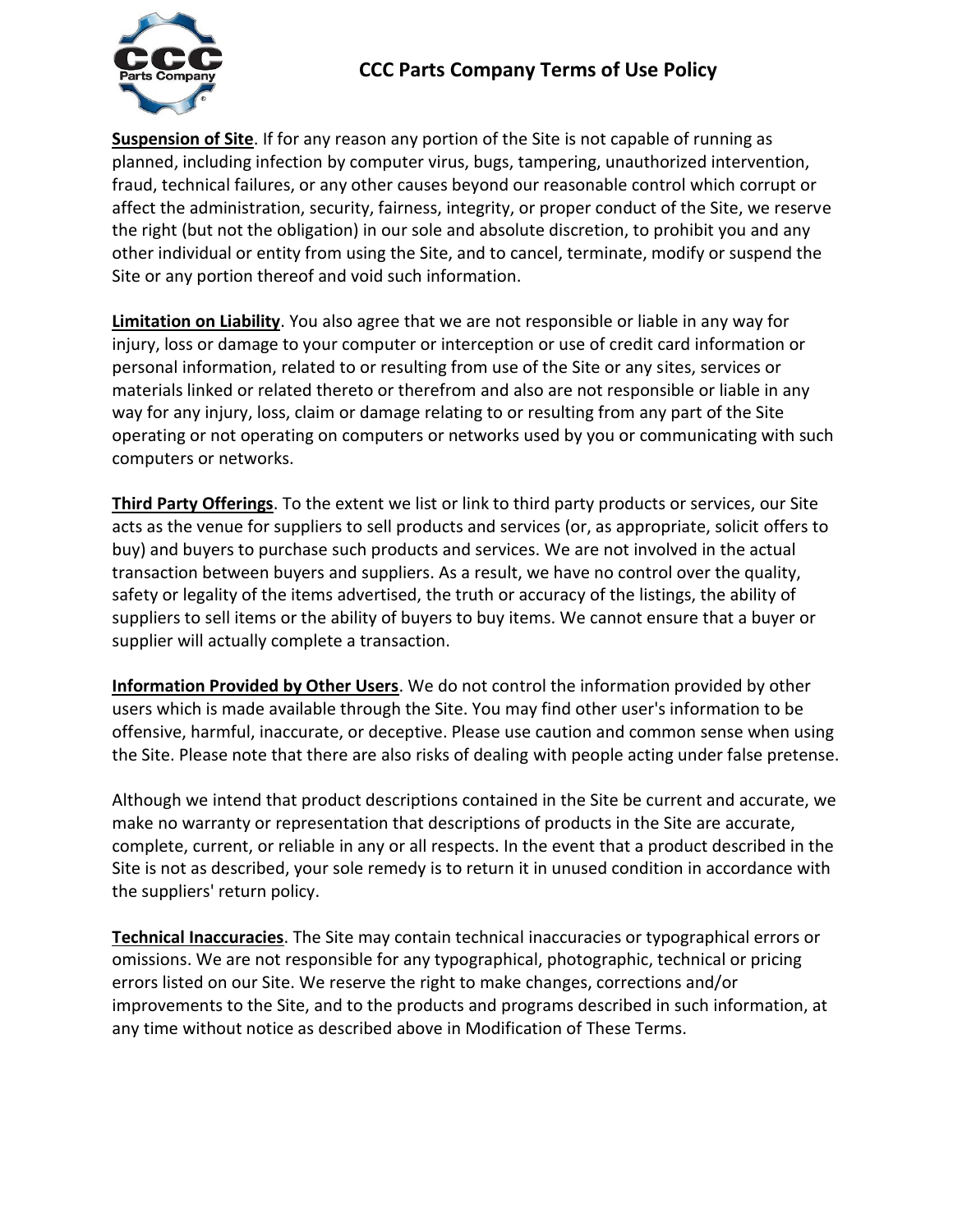## **CCC Parts Company Terms of Use Policy**



**Suspension of Site**. If for any reason any portion of the Site is not capable of running as planned, including infection by computer virus, bugs, tampering, unauthorized intervention, fraud, technical failures, or any other causes beyond our reasonable control which corrupt or affect the administration, security, fairness, integrity, or proper conduct of the Site, we reserve the right (but not the obligation) in our sole and absolute discretion, to prohibit you and any other individual or entity from using the Site, and to cancel, terminate, modify or suspend the Site or any portion thereof and void such information.

**Limitation on Liability**. You also agree that we are not responsible or liable in any way for injury, loss or damage to your computer or interception or use of credit card information or personal information, related to or resulting from use of the Site or any sites, services or materials linked or related thereto or therefrom and also are not responsible or liable in any way for any injury, loss, claim or damage relating to or resulting from any part of the Site operating or not operating on computers or networks used by you or communicating with such computers or networks.

**Third Party Offerings**. To the extent we list or link to third party products or services, our Site acts as the venue for suppliers to sell products and services (or, as appropriate, solicit offers to buy) and buyers to purchase such products and services. We are not involved in the actual transaction between buyers and suppliers. As a result, we have no control over the quality, safety or legality of the items advertised, the truth or accuracy of the listings, the ability of suppliers to sell items or the ability of buyers to buy items. We cannot ensure that a buyer or supplier will actually complete a transaction.

**Information Provided by Other Users**. We do not control the information provided by other users which is made available through the Site. You may find other user's information to be offensive, harmful, inaccurate, or deceptive. Please use caution and common sense when using the Site. Please note that there are also risks of dealing with people acting under false pretense.

Although we intend that product descriptions contained in the Site be current and accurate, we make no warranty or representation that descriptions of products in the Site are accurate, complete, current, or reliable in any or all respects. In the event that a product described in the Site is not as described, your sole remedy is to return it in unused condition in accordance with the suppliers' return policy.

**Technical Inaccuracies**. The Site may contain technical inaccuracies or typographical errors or omissions. We are not responsible for any typographical, photographic, technical or pricing errors listed on our Site. We reserve the right to make changes, corrections and/or improvements to the Site, and to the products and programs described in such information, at any time without notice as described above in Modification of These Terms.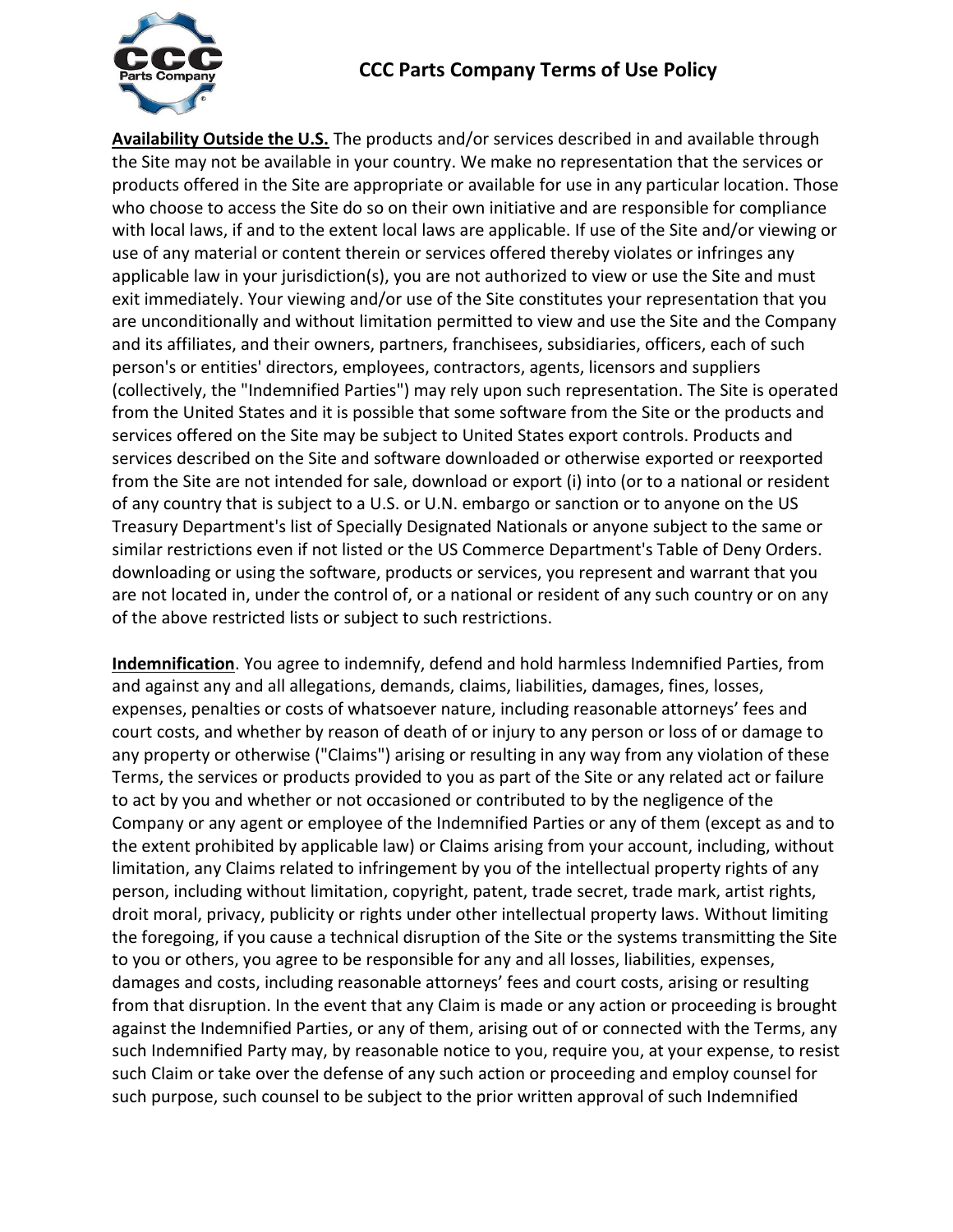

## **CCC Parts Company Terms of Use Policy**

**Availability Outside the U.S.** The products and/or services described in and available through the Site may not be available in your country. We make no representation that the services or products offered in the Site are appropriate or available for use in any particular location. Those who choose to access the Site do so on their own initiative and are responsible for compliance with local laws, if and to the extent local laws are applicable. If use of the Site and/or viewing or use of any material or content therein or services offered thereby violates or infringes any applicable law in your jurisdiction(s), you are not authorized to view or use the Site and must exit immediately. Your viewing and/or use of the Site constitutes your representation that you are unconditionally and without limitation permitted to view and use the Site and the Company and its affiliates, and their owners, partners, franchisees, subsidiaries, officers, each of such person's or entities' directors, employees, contractors, agents, licensors and suppliers (collectively, the "Indemnified Parties") may rely upon such representation. The Site is operated from the United States and it is possible that some software from the Site or the products and services offered on the Site may be subject to United States export controls. Products and services described on the Site and software downloaded or otherwise exported or reexported from the Site are not intended for sale, download or export (i) into (or to a national or resident of any country that is subject to a U.S. or U.N. embargo or sanction or to anyone on the US Treasury Department's list of Specially Designated Nationals or anyone subject to the same or similar restrictions even if not listed or the US Commerce Department's Table of Deny Orders. downloading or using the software, products or services, you represent and warrant that you are not located in, under the control of, or a national or resident of any such country or on any of the above restricted lists or subject to such restrictions.

**Indemnification**. You agree to indemnify, defend and hold harmless Indemnified Parties, from and against any and all allegations, demands, claims, liabilities, damages, fines, losses, expenses, penalties or costs of whatsoever nature, including reasonable attorneys' fees and court costs, and whether by reason of death of or injury to any person or loss of or damage to any property or otherwise ("Claims") arising or resulting in any way from any violation of these Terms, the services or products provided to you as part of the Site or any related act or failure to act by you and whether or not occasioned or contributed to by the negligence of the Company or any agent or employee of the Indemnified Parties or any of them (except as and to the extent prohibited by applicable law) or Claims arising from your account, including, without limitation, any Claims related to infringement by you of the intellectual property rights of any person, including without limitation, copyright, patent, trade secret, trade mark, artist rights, droit moral, privacy, publicity or rights under other intellectual property laws. Without limiting the foregoing, if you cause a technical disruption of the Site or the systems transmitting the Site to you or others, you agree to be responsible for any and all losses, liabilities, expenses, damages and costs, including reasonable attorneys' fees and court costs, arising or resulting from that disruption. In the event that any Claim is made or any action or proceeding is brought against the Indemnified Parties, or any of them, arising out of or connected with the Terms, any such Indemnified Party may, by reasonable notice to you, require you, at your expense, to resist such Claim or take over the defense of any such action or proceeding and employ counsel for such purpose, such counsel to be subject to the prior written approval of such Indemnified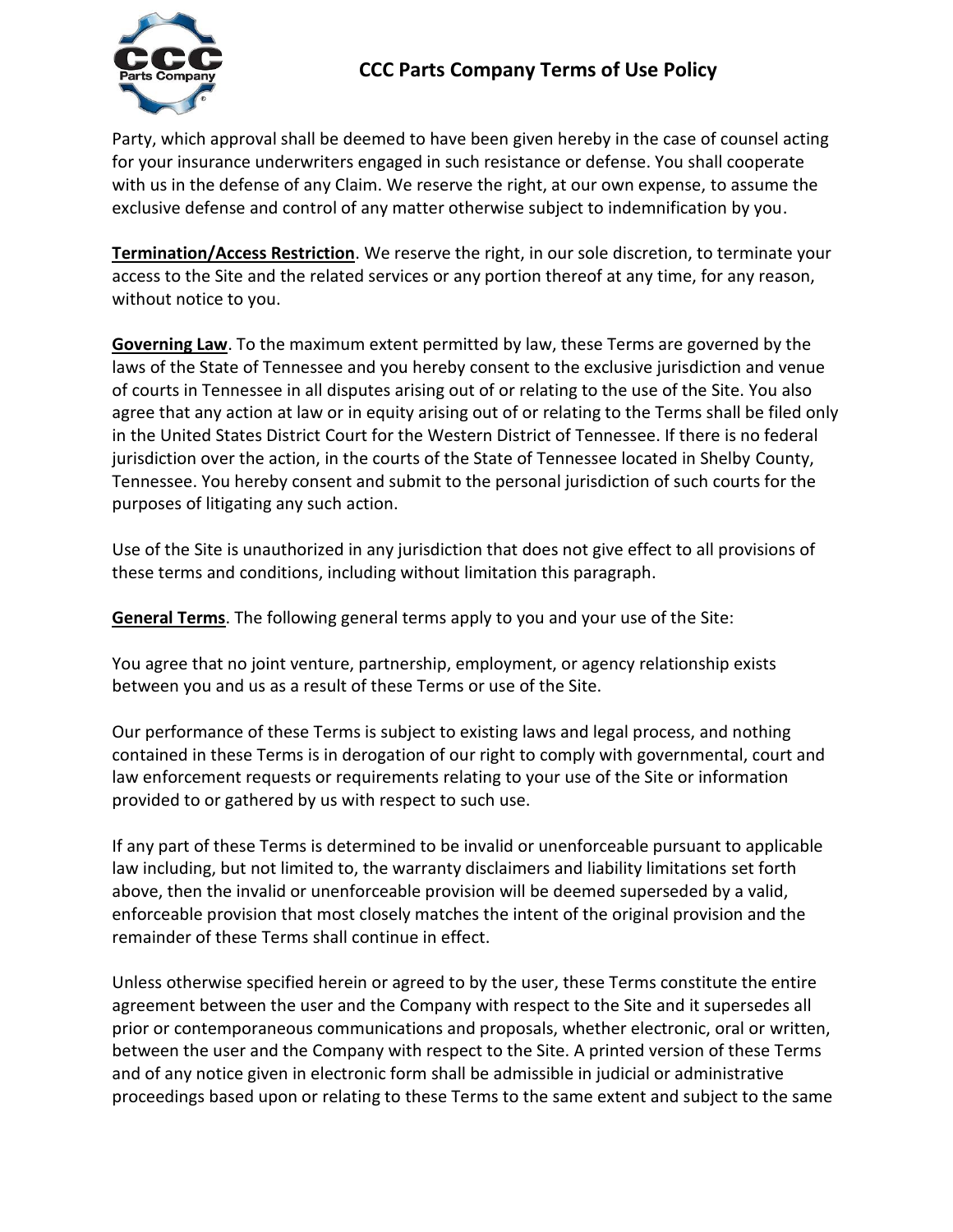

Party, which approval shall be deemed to have been given hereby in the case of counsel acting for your insurance underwriters engaged in such resistance or defense. You shall cooperate with us in the defense of any Claim. We reserve the right, at our own expense, to assume the exclusive defense and control of any matter otherwise subject to indemnification by you.

**Termination/Access Restriction**. We reserve the right, in our sole discretion, to terminate your access to the Site and the related services or any portion thereof at any time, for any reason, without notice to you.

**Governing Law**. To the maximum extent permitted by law, these Terms are governed by the laws of the State of Tennessee and you hereby consent to the exclusive jurisdiction and venue of courts in Tennessee in all disputes arising out of or relating to the use of the Site. You also agree that any action at law or in equity arising out of or relating to the Terms shall be filed only in the United States District Court for the Western District of Tennessee. If there is no federal jurisdiction over the action, in the courts of the State of Tennessee located in Shelby County, Tennessee. You hereby consent and submit to the personal jurisdiction of such courts for the purposes of litigating any such action.

Use of the Site is unauthorized in any jurisdiction that does not give effect to all provisions of these terms and conditions, including without limitation this paragraph.

**General Terms**. The following general terms apply to you and your use of the Site:

You agree that no joint venture, partnership, employment, or agency relationship exists between you and us as a result of these Terms or use of the Site.

Our performance of these Terms is subject to existing laws and legal process, and nothing contained in these Terms is in derogation of our right to comply with governmental, court and law enforcement requests or requirements relating to your use of the Site or information provided to or gathered by us with respect to such use.

If any part of these Terms is determined to be invalid or unenforceable pursuant to applicable law including, but not limited to, the warranty disclaimers and liability limitations set forth above, then the invalid or unenforceable provision will be deemed superseded by a valid, enforceable provision that most closely matches the intent of the original provision and the remainder of these Terms shall continue in effect.

Unless otherwise specified herein or agreed to by the user, these Terms constitute the entire agreement between the user and the Company with respect to the Site and it supersedes all prior or contemporaneous communications and proposals, whether electronic, oral or written, between the user and the Company with respect to the Site. A printed version of these Terms and of any notice given in electronic form shall be admissible in judicial or administrative proceedings based upon or relating to these Terms to the same extent and subject to the same